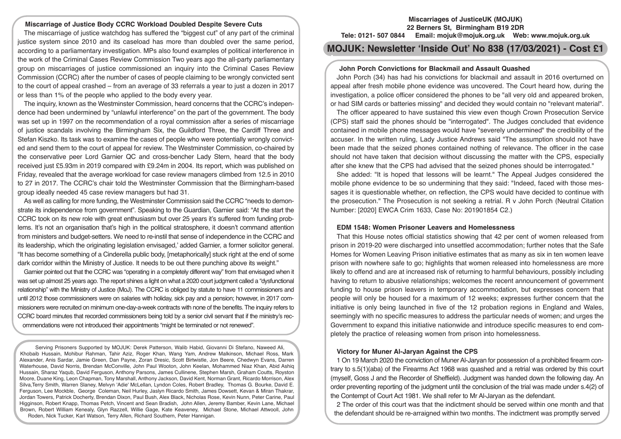#### **Miscarriage of Justice Body CCRC Workload Doubled Despite Severe Cuts**

The miscarriage of justice watchdog has suffered the "biggest cut" of any part of the criminal justice system since 2010 and its caseload has more than doubled over the same period, according to a parliamentary investigation. MPs also found examples of political interference in the work of the Criminal Cases Review Commission Two years ago the all-party parliamentary group on miscarriages of justice commissioned an inquiry into the Criminal Cases Review Commission (CCRC) after the number of cases of people claiming to be wrongly convicted sent to the court of appeal crashed – from an average of 33 referrals a year to just a dozen in 2017 or less than 1% of the people who applied to the body every year.

The inquiry, known as the Westminster Commission, heard concerns that the CCRC's independence had been undermined by "unlawful interference" on the part of the government. The body was set up in 1997 on the recommendation of a royal commission after a series of miscarriage of justice scandals involving the Birmingham Six, the Guildford Three, the Cardiff Three and Stefan Kiszko. Its task was to examine the cases of people who were potentially wrongly convicted and send them to the court of appeal for review. The Westminster Commission, co-chaired by the conservative peer Lord Garnier QC and cross-bencher Lady Stern, heard that the body received just £5.93m in 2019 compared with £9.24m in 2004. Its report, which was published on Friday, revealed that the average workload for case review managers climbed from 12.5 in 2010 to 27 in 2017. The CCRC's chair told the Westminster Commission that the Birmingham-based group ideally needed 45 case review managers but had 31.

As well as calling for more funding, the Westminster Commission said the CCRC "needs to demonstrate its independence from government". Speaking to the Guardian, Garnier said: "At the start the CCRC took on its new role with great enthusiasm but over 25 years it's suffered from funding problems. It's not an organisation that's high in the political stratosphere, it doesn't command attention from ministers and budget-setters. We need to re-instil that sense of independence in the CCRC and its leadership, which the originating legislation envisaged,' added Garnier, a former solicitor general. "It has become something of a Cinderella public body, [metaphorically] stuck right at the end of some dark corridor within the Ministry of Justice. It needs to be out there punching above its weight."

Garnier pointed out that the CCRC was "operating in a completely different way" from that envisaged when it was set up almost 25 years ago. The report shines a light on what a 2020 court judgment called a "dysfunctional relationship" with the Ministry of Justice (MoJ). The CCRC is obliged by statute to have 11 commissioners and until 2012 those commissioners were on salaries with holiday, sick pay and a pension; however, in 2017 commissioners were recruited on minimum one-day-a-week contracts with none of the benefits. The inquiry refers to CCRC board minutes that recorded commissioners being told by a senior civil servant that if the ministry's recommendations were not introduced their appointments "might be terminated or not renewed".

Serving Prisoners Supported by MOJUK: Derek Patterson, Walib Habid, Giovanni Di Stefano, Naweed Ali, Khobaib Hussain, Mohibur Rahman, Tahir Aziz, Roger Khan, Wang Yam, Andrew Malkinson, Michael Ross, Mark Alexander, Anis Sardar, Jamie Green, Dan Payne, Zoran Dresic, Scott Birtwistle, Jon Beere, Chedwyn Evans, Darren Waterhouse, David Norris, Brendan McConville, John Paul Wooton, John Keelan, Mohammed Niaz Khan, Abid Ashiq Hussain, Sharaz Yaqub, David Ferguson, Anthony Parsons, James Cullinene, Stephen Marsh, Graham Coutts, Royston Moore, Duane King, Leon Chapman, Tony Marshall, Anthony Jackson, David Kent, Norman Grant, Ricardo Morrison, Alex Silva,Terry Smith, Warren Slaney, Melvyn 'Adie' McLellan, Lyndon Coles, Robert Bradley, Thomas G. Bourke, David E. Ferguson, Lee Mockble, George Coleman, Neil Hurley, Jaslyn Ricardo Smith, James Dowsett, Kevan & Miran Thakrar, Jordan Towers, Patrick Docherty, Brendan Dixon, Paul Bush, Alex Black, Nicholas Rose, Kevin Nunn, Peter Carine, Paul Higginson, Robert Knapp, Thomas Petch, Vincent and Sean Bradish, John Allen, Jeremy Bamber, Kevin Lane, Michael Brown, Robert William Kenealy, Glyn Razzell, Willie Gage, Kate Keaveney, Michael Stone, Michael Attwooll, John Roden, Nick Tucker, Karl Watson, Terry Allen, Richard Southern, Peter Hannigan.

#### **Miscarriages of JusticeUK (MOJUK) 22 Berners St, Birmingham B19 2DR Tele: 0121- 507 0844 Email: mojuk@mojuk.org.uk Web: www.mojuk.org.uk**

# **MOJUK: Newsletter 'Inside Out' No 838 (17/03/2021) - Cost £1**

#### **John Porch Convictions for Blackmail and Assault Quashed**

John Porch (34) has had his convictions for blackmail and assault in 2016 overturned on appeal after fresh mobile phone evidence was uncovered. The Court heard how, during the investigation, a police officer considered the phones to be "all very old and appeared broken, or had SIM cards or batteries missing" and decided they would contain no "relevant material".

The officer appeared to have sustained this view even though Crown Prosecution Service (CPS) staff said the phones should be "interrogated". The Judges concluded that evidence contained in mobile phone messages would have "severely undermined" the credibility of the accuser. In the written ruling, Lady Justice Andrews said "The assumption should not have been made that the seized phones contained nothing of relevance. The officer in the case should not have taken that decision without discussing the matter with the CPS, especially after she knew that the CPS had advised that the seized phones should be interrogated."

She added: "It is hoped that lessons will be learnt." The Appeal Judges considered the mobile phone evidence to be so undermining that they said: "Indeed, faced with those messages it is questionable whether, on reflection, the CPS would have decided to continue with the prosecution." The Prosecution is not seeking a retrial. R v John Porch (Neutral Citation Number: [2020] EWCA Crim 1633, Case No: 201901854 C2.)

#### **EDM 1548: Women Prisoner Leavers and Homelessness**

That this House notes official statistics showing that 42 per cent of women released from prison in 2019-20 were discharged into unsettled accommodation; further notes that the Safe Homes for Women Leaving Prison initiative estimates that as many as six in ten women leave prison with nowhere safe to go; highlights that women released into homelessness are more likely to offend and are at increased risk of returning to harmful behaviours, possibly including having to return to abusive relationships; welcomes the recent announcement of government funding to house prison leavers in temporary accommodation, but expresses concern that people will only be housed for a maximum of 12 weeks; expresses further concern that the initiative is only being launched in five of the 12 probation regions in England and Wales, seemingly with no specific measures to address the particular needs of women; and urges the Government to expand this initiative nationwide and introduce specific measures to end completely the practice of releasing women from prison into homelessness.

#### **Victory for Muner Al-Jaryan Against the CPS**

1 On 19 March 2020 the conviction of Muner Al-Jaryan for possession of a prohibited firearm contrary to s.5(1)(aba) of the Firearms Act 1968 was quashed and a retrial was ordered by this court (myself, Goss J and the Recorder of Sheffield). Judgment was handed down the following day. An order preventing reporting of the judgment until the conclusion of the trial was made under s.4(2) of the Contempt of Court Act 1981. We shall refer to Mr Al-Jaryan as the defendant.

2 The order of this court was that the indictment should be served within one month and that the defendant should be re-arraigned within two months. The indictment was promptly served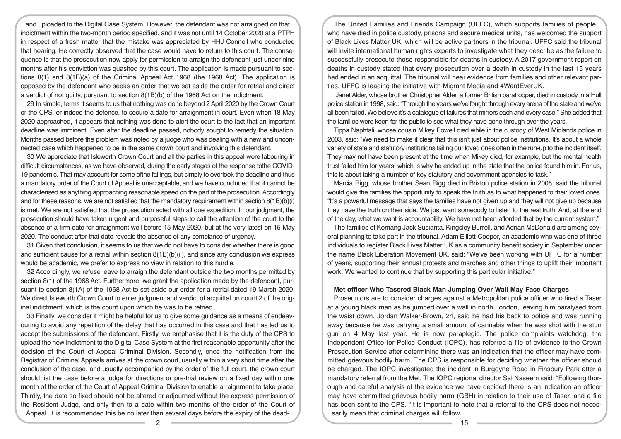and uploaded to the Digital Case System. However, the defendant was not arraigned on that indictment within the two-month period specified, and it was not until 14 October 2020 at a PTPH in respect of a fresh matter that the mistake was appreciated by HHJ Connell who conducted that hearing. He correctly observed that the case would have to return to this court. The consequence is that the prosecution now apply for permission to arraign the defendant just under nine months after his conviction was quashed by this court. The application is made pursuant to sections 8(1) and 8(1B)(a) of the Criminal Appeal Act 1968 (the 1968 Act). The application is opposed by the defendant who seeks an order that we set aside the order for retrial and direct a verdict of not guilty, pursuant to section 8(1B)(b) of the 1968 Act on the indictment.

29 In simple, terms it seems to us that nothing was done beyond 2 April 2020 by the Crown Court or the CPS, or indeed the defence, to secure a date for arraignment in court. Even when 18 May 2020 approached, it appears that nothing was done to alert the court to the fact that an important deadline was imminent. Even after the deadline passed, nobody sought to remedy the situation. Months passed before the problem was noted by a judge who was dealing with a new and unconnected case which happened to be in the same crown court and involving this defendant.

30 We appreciate that Isleworth Crown Court and all the parties in this appeal were labouring in difficult circumstances, as we have observed, during the early stages of the response tothe COVID-19 pandemic. That may account for some ofthe failings, but simply to overlook the deadline and thus a mandatory order of the Court of Appeal is unacceptable, and we have concluded that it cannot be characterised as anything approaching reasonable speed on the part of the prosecution. Accordingly and for these reasons, we are not satisfied that the mandatory requirement within section 8(1B)(b)(i) is met. We are not satisfied that the prosecution acted with all due expedition. In our judgment, the prosecution should have taken urgent and purposeful steps to call the attention of the court to the absence of a firm date for arraignment well before 15 May 2020, but at the very latest on 15 May 2020. The conduct after that date reveals the absence of any semblance of urgency.

31 Given that conclusion, it seems to us that we do not have to consider whether there is good and sufficient cause for a retrial within section 8(1B)(b)(ii), and since any conclusion we express would be academic, we prefer to express no view in relation to this hurdle.

32 Accordingly, we refuse leave to arraign the defendant outside the two months permitted by section 8(1) of the 1968 Act. Furthermore, we grant the application made by the defendant, pursuant to section 8(1A) of the 1968 Act to set aside our order for a retrial dated 19 March 2020. We direct Isleworth Crown Court to enter judgment and verdict of acquittal on count 2 of the original indictment, which is the count upon which he was to be retried.

33 Finally, we consider it might be helpful for us to give some guidance as a means of endeavouring to avoid any repetition of the delay that has occurred in this case and that has led us to accept the submissions of the defendant. Firstly, we emphasise that it is the duty of the CPS to upload the new indictment to the Digital Case System at the first reasonable opportunity after the decision of the Court of Appeal Criminal Division. Secondly, once the notification from the Registrar of Criminal Appeals arrives at the crown court, usually within a very short time after the conclusion of the case, and usually accompanied by the order of the full court, the crown court should list the case before a judge for directions or pre-trial review on a fixed day within one month of the order of the Court of Appeal Criminal Division to enable arraignment to take place. Thirdly, the date so fixed should not be altered or adjourned without the express permission of the Resident Judge, and only then to a date within two months of the order of the Court of Appeal. It is recommended this be no later than several days before the expiry of the dead-

The United Families and Friends Campaign (UFFC), which supports families of people who have died in police custody, prisons and secure medical units, has welcomed the support of Black Lives Matter UK, which will be active partners in the tribunal. UFFC said the tribunal will invite international human rights experts to investigate what they describe as the failure to successfully prosecute those responsible for deaths in custody. A 2017 government report on deaths in custody stated that every prosecution over a death in custody in the last 15 years had ended in an acquittal. The tribunal will hear evidence from families and other relevant parties. UFFC is leading the initiative with Migrant Media and 4WardEverUK.

 Janet Alder, whose brother Christopher Alder, a former British paratrooper, died in custody in a Hull police station in 1998, said: "Through the years we've fought through every arena of the state and we've all been failed. We believe it's a catalogue of failures that mirrors each and every case." She added that the families were keen for the public to see what they have gone through over the years.

Tippa Naphtali, whose cousin Mikey Powell died while in the custody of West Midlands police in 2003, said: "We need to make it clear that this isn't just about police institutions. It's about a whole variety of state and statutory institutions failing our loved ones often in the run-up to the incident itself. They may not have been present at the time when Mikey died, for example, but the mental health trust failed him for years, which is why he ended up in the state that the police found him in. For us, this is about taking a number of key statutory and government agencies to task."

Marcia Rigg, whose brother Sean Rigg died in Brixton police station in 2008, said the tribunal would give the families the opportunity to speak the truth as to what happened to their loved ones. "It's a powerful message that says the families have not given up and they will not give up because they have the truth on their side. We just want somebody to listen to the real truth. And, at the end of the day, what we want is accountability. We have not been afforded that by the current system."

The families of Komang Jack Susianta, Kingsley Burrell, and Adrian McDonald are among several planning to take part in the tribunal. Adam Elliott-Cooper, an academic who was one of three individuals to register Black Lives Matter UK as a community benefit society in September under the name Black Liberation Movement UK, said: "We've been working with UFFC for a number of years, supporting their annual protests and marches and other things to uplift their important work. We wanted to continue that by supporting this particular initiative."

# **Met officer Who Tasered Black Man Jumping Over Wall May Face Charges**

Prosecutors are to consider charges against a Metropolitan police officer who fired a Taser at a young black man as he jumped over a wall in north London, leaving him paralysed from the waist down. Jordan Walker-Brown, 24, said he had his back to police and was running away because he was carrying a small amount of cannabis when he was shot with the stun gun on 4 May last year. He is now paraplegic. The police complaints watchdog, the Independent Office for Police Conduct (IOPC), has referred a file of evidence to the Crown Prosecution Service after determining there was an indication that the officer may have committed grievous bodily harm. The CPS is responsible for deciding whether the officer should be charged. The IOPC investigated the incident in Burgoyne Road in Finsbury Park after a mandatory referral from the Met. The IOPC regional director Sal Naseem said: "Following thorough and careful analysis of the evidence we have decided there is an indication an officer may have committed grievous bodily harm (GBH) in relation to their use of Taser, and a file has been sent to the CPS. "It is important to note that a referral to the CPS does not necessarily mean that criminal charges will follow.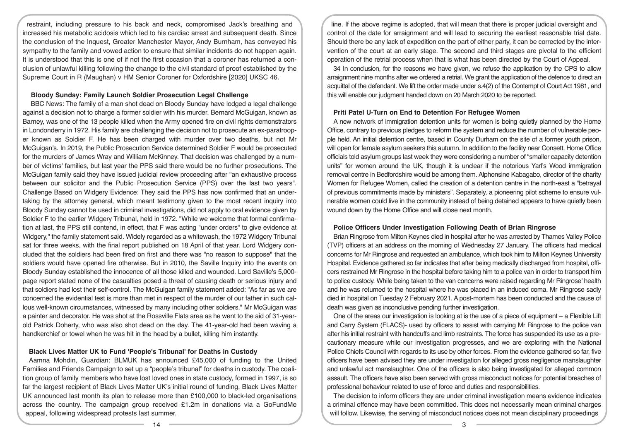restraint, including pressure to his back and neck, compromised Jack's breathing and increased his metabolic acidosis which led to his cardiac arrest and subsequent death. Since the conclusion of the Inquest, Greater Manchester Mayor, Andy Burnham, has conveyed his sympathy to the family and vowed action to ensure that similar incidents do not happen again. It is understood that this is one of if not the first occasion that a coroner has returned a conclusion of unlawful killing following the change to the civil standard of proof established by the Supreme Court in R (Maughan) v HM Senior Coroner for Oxfordshire [2020] UKSC 46.

# **Bloody Sunday: Family Launch Soldier Prosecution Legal Challenge**

 BBC News: The family of a man shot dead on Bloody Sunday have lodged a legal challenge against a decision not to charge a former soldier with his murder. Bernard McGuigan, known as Barney, was one of the 13 people killed when the Army opened fire on civil rights demonstrators in Londonderry in 1972. His family are challenging the decision not to prosecute an ex-paratrooper known as Soldier F. He has been charged with murder over two deaths, but not Mr McGuigan's. In 2019, the Public Prosecution Service determined Soldier F would be prosecuted for the murders of James Wray and William McKinney. That decision was challenged by a number of victims' families, but last year the PPS said there would be no further prosecutions. The McGuigan family said they have issued judicial review proceeding after "an exhaustive process between our solicitor and the Public Prosecution Service (PPS) over the last two years". Challenge Based on Widgery Evidence: They said the PPS has now confirmed that an undertaking by the attorney general, which meant testimony given to the most recent inquiry into Bloody Sunday cannot be used in criminal investigations, did not apply to oral evidence given by Soldier F to the earlier Widgery Tribunal, held in 1972. "While we welcome that formal confirmation at last, the PPS still contend, in effect, that F was acting "under orders" to give evidence at Widgery," the family statement said. Widely regarded as a whitewash, the 1972 Widgery Tribunal sat for three weeks, with the final report published on 18 April of that year. Lord Widgery concluded that the soldiers had been fired on first and there was "no reason to suppose" that the soldiers would have opened fire otherwise. But in 2010, the Saville Inquiry into the events on Bloody Sunday established the innocence of all those killed and wounded. Lord Saville's 5,000 page report stated none of the casualties posed a threat of causing death or serious injury and that soldiers had lost their self-control. The McGuigan family statement added: "As far as we are concerned the evidential test is more than met in respect of the murder of our father in such callous well-known circumstances, witnessed by many including other soldiers." Mr McGuigan was a painter and decorator. He was shot at the Rossville Flats area as he went to the aid of 31-yearold Patrick Doherty, who was also shot dead on the day. The 41-year-old had been waving a handkerchief or towel when he was hit in the head by a bullet, killing him instantly.

# **Black Lives Matter UK to Fund 'People's Tribunal' for Deaths in Custody**

Aamna Mohdin, Guardian: BLMUK has announced £45,000 of funding to the United Families and Friends Campaign to set up a "people's tribunal" for deaths in custody. The coalition group of family members who have lost loved ones in state custody, formed in 1997, is so far the largest recipient of Black Lives Matter UK's initial round of funding. Black Lives Matter UK announced last month its plan to release more than £100,000 to black-led organisations across the country. The campaign group received  $£1.2m$  in donations via a GoFundMe appeal, following widespread protests last summer.

line. If the above regime is adopted, that will mean that there is proper judicial oversight and control of the date for arraignment and will lead to securing the earliest reasonable trial date. Should there be any lack of expedition on the part of either party, it can be corrected by the intervention of the court at an early stage. The second and third stages are pivotal to the efficient operation of the retrial process when that is what has been directed by the Court of Appeal.

34 In conclusion, for the reasons we have given, we refuse the application by the CPS to allow arraignment nine months after we ordered a retrial. We grant the application of the defence to direct an acquittal of the defendant. We lift the order made under s.4(2) of the Contempt of Court Act 1981, and this will enable our judgment handed down on 20 March 2020 to be reported.

### **Priti Patel U-Turn on End to Detention For Refugee Women**

A new network of immigration detention units for women is being quietly planned by the Home Office, contrary to previous pledges to reform the system and reduce the number of vulnerable people held. An initial detention centre, based in County Durham on the site of a former youth prison, will open for female asylum seekers this autumn. In addition to the facility near Consett, Home Office officials told asylum groups last week they were considering a number of "smaller capacity detention units" for women around the UK, though it is unclear if the notorious Yarl's Wood immigration removal centre in Bedfordshire would be among them. Alphonsine Kabagabo, director of the charity Women for Refugee Women, called the creation of a detention centre in the north-east a "betrayal of previous commitments made by ministers". Separately, a pioneering pilot scheme to ensure vulnerable women could live in the community instead of being detained appears to have quietly been wound down by the Home Office and will close next month.

# **Police Officers Under Investigation Following Death of Brian Ringrose**

Brian Ringrose from Milton Keynes died in hospital after he was arrested by Thames Valley Police (TVP) officers at an address on the morning of Wednesday 27 January. The officers had medical concerns for Mr Ringrose and requested an ambulance, which took him to Milton Keynes University Hospital. Evidence gathered so far indicates that after being medically discharged from hospital, officers restrained Mr Ringrose in the hospital before taking him to a police van in order to transport him to police custody. While being taken to the van concerns were raised regarding Mr Ringrose' health and he was returned to the hospital where he was placed in an induced coma. Mr Ringrose sadly died in hospital on Tuesday 2 February 2021. A post-mortem has been conducted and the cause of death was given as inconclusive pending further investigation.

One of the areas our investigation is looking at is the use of a piece of equipment – a Flexible Lift and Carry System (FLACS)- used by officers to assist with carrying Mr Ringrose to the police van after his initial restraint with handcuffs and limb restraints. The force has suspended its use as a precautionary measure while our investigation progresses, and we are exploring with the National Police Chiefs Council with regards to its use by other forces. From the evidence gathered so far, five officers have been advised they are under investigation for alleged gross negligence manslaughter and unlawful act manslaughter. One of the officers is also being investigated for alleged common assault. The officers have also been served with gross misconduct notices for potential breaches of professional behaviour related to use of force and duties and responsibilities.

The decision to inform officers they are under criminal investigation means evidence indicates a criminal offence may have been committed. This does not necessarily mean criminal charges will follow. Likewise, the serving of misconduct notices does not mean disciplinary proceedings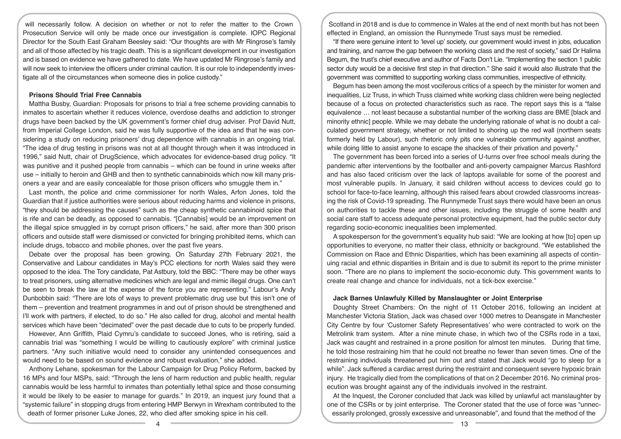will necessarily follow. A decision on whether or not to refer the matter to the Crown Prosecution Service will only be made once our investigation is complete. IOPC Regional Director for the South East Graham Beesley said: "Our thoughts are with Mr Ringrose's family and all of those affected by his tragic death. This is a significant development in our investigation and is based on evidence we have gathered to date. We have updated Mr Ringrose's family and will now seek to interview the officers under criminal caution. It is our role to independently investigate all of the circumstances when someone dies in police custody."

# **Prisons Should Trial Free Cannabis**

Mattha Busby, Guardian: Proposals for prisons to trial a free scheme providing cannabis to inmates to ascertain whether it reduces violence, overdose deaths and addiction to stronger drugs have been backed by the UK government's former chief drug adviser. Prof David Nutt, from Imperial College London, said he was fully supportive of the idea and that he was considering a study on reducing prisoners' drug dependence with cannabis in an ongoing trial. "The idea of drug testing in prisons was not at all thought through when it was introduced in 1996," said Nutt, chair of DrugScience, which advocates for evidence-based drug policy. "It was punitive and it pushed people from cannabis – which can be found in urine weeks after use – initially to heroin and GHB and then to synthetic cannabinoids which now kill many prisoners a year and are easily concealable for those prison officers who smuggle them in."

Last month, the police and crime commissioner for north Wales, Arfon Jones, told the Guardian that if justice authorities were serious about reducing harms and violence in prisons, "they should be addressing the causes" such as the cheap synthetic cannabinoid spice that is rife and can be deadly, as opposed to cannabis. "[Cannabis] would be an improvement on the illegal spice smuggled in by corrupt prison officers," he said, after more than 300 prison officers and outside staff were dismissed or convicted for bringing prohibited items, which can include drugs, tobacco and mobile phones, over the past five years.

Debate over the proposal has been growing. On Saturday 27th February 2021, the Conservative and Labour candidates in May's PCC elections for north Wales said they were opposed to the idea. The Tory candidate, Pat Astbury, told the BBC: "There may be other ways to treat prisoners, using alternative medicines which are legal and mimic illegal drugs. One can't be seen to break the law at the expense of the force you are representing." Labour's Andy Dunbobbin said: "There are lots of ways to prevent problematic drug use but this isn't one of them – prevention and treatment programmes in and out of prison should be strengthened and I'll work with partners, if elected, to do so." He also called for drug, alcohol and mental health services which have been "decimated" over the past decade due to cuts to be properly funded.

However, Ann Griffith, Plaid Cymru's candidate to succeed Jones, who is retiring, said a cannabis trial was "something I would be willing to cautiously explore" with criminal justice partners. "Any such initiative would need to consider any unintended consequences and would need to be based on sound evidence and robust evaluation," she added.

Anthony Lehane, spokesman for the Labour Campaign for Drug Policy Reform, backed by 16 MPs and four MSPs, said: "Through the lens of harm reduction and public health, regular cannabis would be less harmful to inmates than potentially lethal spice and those consuming it would be likely to be easier to manage for guards." In 2019, an inquest jury found that a "systemic failure" in stopping drugs from entering HMP Berwyn in Wrexham contributed to the death of former prisoner Luke Jones, 22, who died after smoking spice in his cell.

Scotland in 2018 and is due to commence in Wales at the end of next month but has not been effected in England, an omission the Runnymede Trust says must be remedied.

"If there were genuine intent to 'level up' society, our government would invest in jobs, education and training, and narrow the gap between the working class and the rest of society," said Dr Halima Begum, the trust's chief executive and author of Facts Don't Lie. "Implementing the section 1 public sector duty would be a decisive first step in that direction." She said it would also illustrate that the government was committed to supporting working class communities, irrespective of ethnicity.

Begum has been among the most vociferous critics of a speech by the minister for women and inequalities, Liz Truss, in which Truss claimed white working class children were being neglected because of a focus on protected characteristics such as race. The report says this is a "false equivalence … not least because a substantial number of the working class are BME [black and minority ethnic] people. While we may debate the underlying rationale of what is no doubt a calculated government strategy, whether or not limited to shoring up the red wall (northern seats formerly held by Labour), such rhetoric only pits one vulnerable community against another, while doing little to assist anyone to escape the shackles of their privation and poverty."

The government has been forced into a series of U-turns over free school meals during the pandemic after interventions by the footballer and anti-poverty campaigner Marcus Rashford and has also faced criticism over the lack of laptops available for some of the poorest and most vulnerable pupils. In January, it said children without access to devices could go to school for face-to-face learning, although this raised fears about crowded classrooms increasing the risk of Covid-19 spreading. The Runnymede Trust says there would have been an onus on authorities to tackle these and other issues, including the struggle of some health and social care staff to access adequate personal protective equipment, had the public sector duty regarding socio-economic inequalities been implemented.

A spokesperson for the government's equality hub said: "We are looking at how [to] open up opportunities to everyone, no matter their class, ethnicity or background. "We established the Commission on Race and Ethnic Disparities, which has been examining all aspects of continuing racial and ethnic disparities in Britain and is due to submit its report to the prime minister soon. "There are no plans to implement the socio-economic duty. This government wants to create real change and chance for individuals, not a tick-box exercise."

#### **Jack Barnes Unlawfuly Killed by Manslaughter or Joint Enterprise**

Doughty Street Chambers: On the night of 11 October 2016, following an incident at Manchester Victoria Station, Jack was chased over 1000 metres to Deansgate in Manchester City Centre by four 'Customer Safety Representatives' who were contracted to work on the Metrolink tram system. After a nine minute chase, in which two of the CSRs rode in a taxi, Jack was caught and restrained in a prone position for almost ten minutes. During that time, he told those restraining him that he could not breathe no fewer than seven times. One of the restraining individuals threatened put him out and stated that Jack would "go to sleep for a while". Jack suffered a cardiac arrest during the restraint and consequent severe hypoxic brain injury. He tragically died from the complications of that on 2 December 2016. No criminal prosecution was brought against any of the individuals involved in the restraint.

At the Inquest, the Coroner concluded that Jack was killed by unlawful act manslaughter by one of the CSRs or by joint enterprise. The Coroner stated that the use of force was "unnecessarily prolonged, grossly excessive and unreasonable", and found that the method of the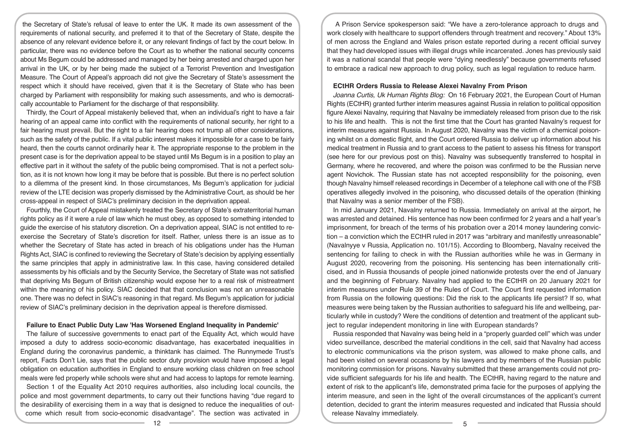the Secretary of State's refusal of leave to enter the UK. It made its own assessment of the requirements of national security, and preferred it to that of the Secretary of State, despite the absence of any relevant evidence before it, or any relevant findings of fact by the court below. In particular, there was no evidence before the Court as to whether the national security concerns about Ms Begum could be addressed and managed by her being arrested and charged upon her arrival in the UK, or by her being made the subject of a Terrorist Prevention and Investigation Measure. The Court of Appeal's approach did not give the Secretary of State's assessment the respect which it should have received, given that it is the Secretary of State who has been charged by Parliament with responsibility for making such assessments, and who is democratically accountable to Parliament for the discharge of that responsibility.

Thirdly, the Court of Appeal mistakenly believed that, when an individual's right to have a fair hearing of an appeal came into conflict with the requirements of national security, her right to a fair hearing must prevail. But the right to a fair hearing does not trump all other considerations, such as the safety of the public. If a vital public interest makes it impossible for a case to be fairly heard, then the courts cannot ordinarily hear it. The appropriate response to the problem in the present case is for the deprivation appeal to be stayed until Ms Begum is in a position to play an effective part in it without the safety of the public being compromised. That is not a perfect solution, as it is not known how long it may be before that is possible. But there is no perfect solution to a dilemma of the present kind. In those circumstances, Ms Begum's application for judicial review of the LTE decision was properly dismissed by the Administrative Court, as should be her cross-appeal in respect of SIAC's preliminary decision in the deprivation appeal.

Fourthly, the Court of Appeal mistakenly treated the Secretary of State's extraterritorial human rights policy as if it were a rule of law which he must obey, as opposed to something intended to guide the exercise of his statutory discretion. On a deprivation appeal, SIAC is not entitled to reexercise the Secretary of State's discretion for itself. Rather, unless there is an issue as to whether the Secretary of State has acted in breach of his obligations under has the Human Rights Act, SIAC is confined to reviewing the Secretary of State's decision by applying essentially the same principles that apply in administrative law. In this case, having considered detailed assessments by his officials and by the Security Service, the Secretary of State was not satisfied that depriving Ms Begum of British citizenship would expose her to a real risk of mistreatment within the meaning of his policy. SIAC decided that that conclusion was not an unreasonable one. There was no defect in SIAC's reasoning in that regard. Ms Begum's application for judicial review of SIAC's preliminary decision in the deprivation appeal is therefore dismissed.

# **Failure to Enact Public Duty Law 'Has Worsened England Inequality in Pandemic'**

The failure of successive governments to enact part of the Equality Act, which would have imposed a duty to address socio-economic disadvantage, has exacerbated inequalities in England during the coronavirus pandemic, a thinktank has claimed. The Runnymede Trust's report, Facts Don't Lie, says that the public sector duty provision would have imposed a legal obligation on education authorities in England to ensure working class children on free school meals were fed properly while schools were shut and had access to laptops for remote learning.

Section 1 of the Equality Act 2010 requires authorities, also including local councils, the police and most government departments, to carry out their functions having "due regard to the desirability of exercising them in a way that is designed to reduce the inequalities of outcome which result from socio-economic disadvantage". The section was activated in

A Prison Service spokesperson said: "We have a zero-tolerance approach to drugs and work closely with healthcare to support offenders through treatment and recovery." About 13% of men across the England and Wales prison estate reported during a recent official survey that they had developed issues with illegal drugs while incarcerated. Jones has previously said it was a national scandal that people were "dying needlessly" because governments refused to embrace a radical new approach to drug policy, such as legal regulation to reduce harm.

#### **ECtHR Orders Russia to Release Alexei Navalny From Prison**

*Joanna Curtis, Uk Human Rights Blog:* On 16 February 2021, the European Court of Human Rights (ECtHR) granted further interim measures against Russia in relation to political opposition figure Alexei Navalny, requiring that Navalny be immediately released from prison due to the risk to his life and health. This is not the first time that the Court has granted Navalny's request for interim measures against Russia. In August 2020, Navalny was the victim of a chemical poisoning whilst on a domestic flight, and the Court ordered Russia to deliver up information about his medical treatment in Russia and to grant access to the patient to assess his fitness for transport (see here for our previous post on this). Navalny was subsequently transferred to hospital in Germany, where he recovered, and where the poison was confirmed to be the Russian nerve agent Novichok. The Russian state has not accepted responsibility for the poisoning, even though Navalny himself released recordings in December of a telephone call with one of the FSB operatives allegedly involved in the poisoning, who discussed details of the operation (thinking that Navalny was a senior member of the FSB).

In mid January 2021, Navalny returned to Russia. Immediately on arrival at the airport, he was arrested and detained. His sentence has now been confirmed for 2 years and a half year's imprisonment, for breach of the terms of his probation over a 2014 money laundering conviction – a conviction which the ECtHR ruled in 2017 was "arbitrary and manifestly unreasonable" (Navalnyye v Russia, Application no. 101/15). According to Bloomberg, Navalny received the sentencing for failing to check in with the Russian authorities while he was in Germany in August 2020, recovering from the poisoning. His sentencing has been internationally criticised, and in Russia thousands of people joined nationwide protests over the end of January and the beginning of February. Navalny had applied to the ECtHR on 20 January 2021 for interim measures under Rule 39 of the Rules of Court. The Court first requested information from Russia on the following questions: Did the risk to the applicants life persist? If so, what measures were being taken by the Russian authorities to safeguard his life and wellbeing, particularly while in custody? Were the conditions of detention and treatment of the applicant subject to regular independent monitoring in line with European standards?

Russia responded that Navalny was being held in a "properly guarded cell" which was under video surveillance, described the material conditions in the cell, said that Navalny had access to electronic communications via the prison system, was allowed to make phone calls, and had been visited on several occasions by his lawyers and by members of the Russian public monitoring commission for prisons. Navalny submitted that these arrangements could not provide sufficient safeguards for his life and health. The ECtHR, having regard to the nature and extent of risk to the applicant's life, demonstrated prima facie for the purposes of applying the interim measure, and seen in the light of the overall circumstances of the applicant's current detention, decided to grant the interim measures requested and indicated that Russia should release Navalny immediately.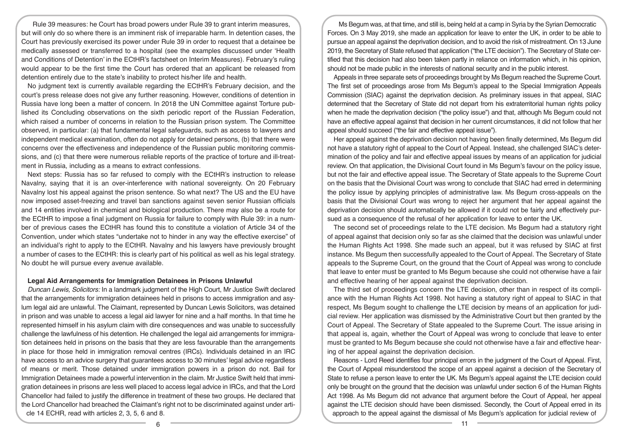Rule 39 measures: he Court has broad powers under Rule 39 to grant interim measures, but will only do so where there is an imminent risk of irreparable harm. In detention cases, the Court has previously exercised its power under Rule 39 in order to request that a detainee be medically assessed or transferred to a hospital (see the examples discussed under 'Health and Conditions of Detention' in the ECtHR's factsheet on Interim Measures). February's ruling would appear to be the first time the Court has ordered that an applicant be released from detention entirely due to the state's inability to protect his/her life and health.

No judgment text is currently available regarding the ECtHR's February decision, and the court's press release does not give any further reasoning. However, conditions of detention in Russia have long been a matter of concern. In 2018 the UN Committee against Torture published its Concluding observations on the sixth periodic report of the Russian Federation, which raised a number of concerns in relation to the Russian prison system. The Committee observed, in particular: (a) that fundamental legal safeguards, such as access to lawyers and independent medical examination, often do not apply for detained persons, (b) that there were concerns over the effectiveness and independence of the Russian public monitoring commissions, and (c) that there were numerous reliable reports of the practice of torture and ill-treatment in Russia, including as a means to extract confessions.

Next steps: Russia has so far refused to comply with the ECtHR's instruction to release Navalny, saying that it is an over-interference with national sovereignty. On 20 February Navalny lost his appeal against the prison sentence. So what next? The US and the EU have now imposed asset-freezing and travel ban sanctions against seven senior Russian officials and 14 entities involved in chemical and biological production. There may also be a route for the ECtHR to impose a final judgment on Russia for failure to comply with Rule 39: in a number of previous cases the ECtHR has found this to constitute a violation of Article 34 of the Convention, under which states "undertake not to hinder in any way the effective exercise" of an individual's right to apply to the ECtHR. Navalny and his lawyers have previously brought a number of cases to the ECtHR: this is clearly part of his political as well as his legal strategy. No doubt he will pursue every avenue available.

# **Legal Aid Arrangements for Immigration Detainees in Prisons Unlawful**

*Duncan Lewis, Solicitors:* In a landmark judgment of the High Court, Mr Justice Swift declared that the arrangements for immigration detainees held in prisons to access immigration and asylum legal aid are unlawful. The Claimant, represented by Duncan Lewis Solicitors, was detained in prison and was unable to access a legal aid lawyer for nine and a half months. In that time he represented himself in his asylum claim with dire consequences and was unable to successfully challenge the lawfulness of his detention. He challenged the legal aid arrangements for immigration detainees held in prisons on the basis that they are less favourable than the arrangements in place for those held in immigration removal centres (IRCs). Individuals detained in an IRC have access to an advice surgery that guarantees access to 30 minutes' legal advice regardless of means or merit. Those detained under immigration powers in a prison do not. Bail for Immigration Detainees made a powerful intervention in the claim. Mr Justice Swift held that immigration detainees in prisons are less well placed to access legal advice in IRCs, and that the Lord Chancellor had failed to justify the difference in treatment of these two groups. He declared that the Lord Chancellor had breached the Claimant's right not to be discriminated against under article 14 ECHR, read with articles 2, 3, 5, 6 and 8.

Ms Begum was, at that time, and still is, being held at a camp in Syria by the Syrian Democratic Forces. On 3 May 2019, she made an application for leave to enter the UK, in order to be able to pursue an appeal against the deprivation decision, and to avoid the risk of mistreatment. On 13 June 2019, the Secretary of State refused that application ("the LTE decision"). The Secretary of State certified that this decision had also been taken partly in reliance on information which, in his opinion, should not be made public in the interests of national security and in the public interest.

Appeals in three separate sets of proceedings brought by Ms Begum reached the Supreme Court. The first set of proceedings arose from Ms Begum's appeal to the Special Immigration Appeals Commission (SIAC) against the deprivation decision. As preliminary issues in that appeal, SIAC determined that the Secretary of State did not depart from his extraterritorial human rights policy when he made the deprivation decision ("the policy issue") and that, although Ms Begum could not have an effective appeal against that decision in her current circumstances, it did not follow that her appeal should succeed ("the fair and effective appeal issue").

Her appeal against the deprivation decision not having been finally determined, Ms Begum did not have a statutory right of appeal to the Court of Appeal. Instead, she challenged SIAC's determination of the policy and fair and effective appeal issues by means of an application for judicial review. On that application, the Divisional Court found in Ms Begum's favour on the policy issue, but not the fair and effective appeal issue. The Secretary of State appeals to the Supreme Court on the basis that the Divisional Court was wrong to conclude that SIAC had erred in determining the policy issue by applying principles of administrative law. Ms Begum cross-appeals on the basis that the Divisional Court was wrong to reject her argument that her appeal against the deprivation decision should automatically be allowed if it could not be fairly and effectively pursued as a consequence of the refusal of her application for leave to enter the UK.

The second set of proceedings relate to the LTE decision. Ms Begum had a statutory right of appeal against that decision only so far as she claimed that the decision was unlawful under the Human Rights Act 1998. She made such an appeal, but it was refused by SIAC at first instance. Ms Begum then successfully appealed to the Court of Appeal. The Secretary of State appeals to the Supreme Court, on the ground that the Court of Appeal was wrong to conclude that leave to enter must be granted to Ms Begum because she could not otherwise have a fair and effective hearing of her appeal against the deprivation decision.

The third set of proceedings concern the LTE decision, other than in respect of its compliance with the Human Rights Act 1998. Not having a statutory right of appeal to SIAC in that respect, Ms Begum sought to challenge the LTE decision by means of an application for judicial review. Her application was dismissed by the Administrative Court but then granted by the Court of Appeal. The Secretary of State appealed to the Supreme Court. The issue arising in that appeal is, again, whether the Court of Appeal was wrong to conclude that leave to enter must be granted to Ms Begum because she could not otherwise have a fair and effective hearing of her appeal against the deprivation decision.

Reasons - Lord Reed identifies four principal errors in the judgment of the Court of Appeal. First, the Court of Appeal misunderstood the scope of an appeal against a decision of the Secretary of State to refuse a person leave to enter the UK. Ms Begum's appeal against the LTE decision could only be brought on the ground that the decision was unlawful under section 6 of the Human Rights Act 1998. As Ms Begum did not advance that argument before the Court of Appeal, her appeal against the LTE decision should have been dismissed. Secondly, the Court of Appeal erred in its approach to the appeal against the dismissal of Ms Begum's application for judicial review of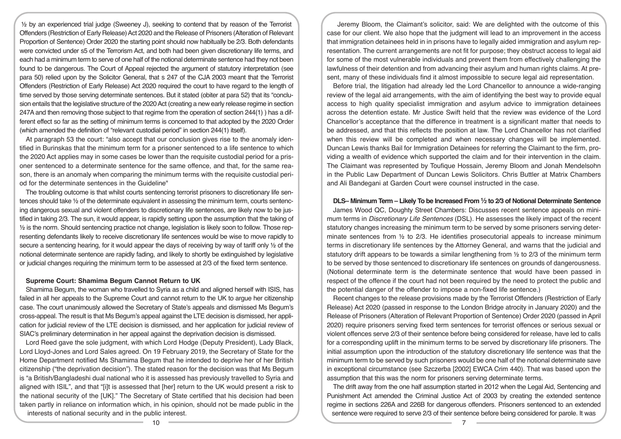½ by an experienced trial judge (Sweeney J), seeking to contend that by reason of the Terrorist Offenders (Restriction of Early Release) Act 2020 and the Release of Prisoners (Alteration of Relevant Proportion of Sentence) Order 2020 the starting point should now habitually be 2/3. Both defendants were convicted under s5 of the Terrorism Act, and both had been given discretionary life terms, and each had a minimum term to serve of one half of the notional determinate sentence had they not been found to be dangerous. The Court of Appeal rejected the argument of statutory interpretation (see para 50) relied upon by the Solicitor General, that s 247 of the CJA 2003 meant that the Terrorist Offenders (Restriction of Early Release) Act 2020 required the court to have regard to the length of time served by those serving determinate sentences. But it stated (obiter at para 52) that its "conclusion entails that the legislative structure of the 2020 Act (creating a new early release regime in section 247A and then removing those subject to that regime from the operation of section 244(1) ) has a different effect so far as the setting of minimum terms is concerned to that adopted by the 2020 Order (which amended the definition of "relevant custodial period" in section 244(1) itself).

At paragraph 53 the court: "also accept that our conclusion gives rise to the anomaly identified in Burinskas that the minimum term for a prisoner sentenced to a life sentence to which the 2020 Act applies may in some cases be lower than the requisite custodial period for a prisoner sentenced to a determinate sentence for the same offence, and that, for the same reason, there is an anomaly when comparing the minimum terms with the requisite custodial period for the determinate sentences in the Guideline"

The troubling outcome is that whilst courts sentencing terrorist prisoners to discretionary life sentences should take ½ of the determinate equivalent in assessing the minimum term, courts sentencing dangerous sexual and violent offenders to discretionary life sentences, are likely now to be justified in taking 2/3. The sun, it would appear, is rapidly setting upon the assumption that the taking of ½ is the norm. Should sentencing practice not change, legislation is likely soon to follow. Those representing defendants likely to receive discretionary life sentences would be wise to move rapidly to secure a sentencing hearing, for it would appear the days of receiving by way of tariff only  $\frac{1}{2}$  of the notional determinate sentence are rapidly fading, and likely to shortly be extinguished by legislative or judicial changes requiring the minimum term to be assessed at 2/3 of the fixed term sentence.

#### **Supreme Court: Shamima Begum Cannot Return to UK**

Shamima Begum, the woman who travelled to Syria as a child and aligned herself with ISIS, has failed in all her appeals to the Supreme Court and cannot return to the UK to argue her citizenship case. The court unanimously allowed the Secretary of State's appeals and dismissed Ms Begum's cross-appeal. The result is that Ms Begum's appeal against the LTE decision is dismissed, her application for judicial review of the LTE decision is dismissed, and her application for judicial review of SIAC's preliminary determination in her appeal against the deprivation decision is dismissed.

Lord Reed gave the sole judgment, with which Lord Hodge (Deputy President), Lady Black, Lord Lloyd-Jones and Lord Sales agreed. On 19 February 2019, the Secretary of State for the Home Department notified Ms Shamima Begum that he intended to deprive her of her British citizenship ("the deprivation decision"). The stated reason for the decision was that Ms Begum is "a British/Bangladeshi dual national who it is assessed has previously travelled to Syria and aligned with ISIL", and that "filt is assessed that [her] return to the UK would present a risk to the national security of the [UK]." The Secretary of State certified that his decision had been taken partly in reliance on information which, in his opinion, should not be made public in the interests of national security and in the public interest.

 Jeremy Bloom, the Claimant's solicitor, said: We are delighted with the outcome of this case for our client. We also hope that the judgment will lead to an improvement in the access that immigration detainees held in in prisons have to legally aided immigration and asylum representation. The current arrangements are not fit for purpose; they obstruct access to legal aid for some of the most vulnerable individuals and prevent them from effectively challenging the lawfulness of their detention and from advancing their asylum and human rights claims. At present, many of these individuals find it almost impossible to secure legal aid representation.

Before trial, the litigation had already led the Lord Chancellor to announce a wide-ranging review of the legal aid arrangements, with the aim of identifying the best way to provide equal access to high quality specialist immigration and asylum advice to immigration detainees across the detention estate. Mr Justice Swift held that the review was evidence of the Lord Chancellor's acceptance that the difference in treatment is a significant matter that needs to be addressed, and that this reflects the position at law. The Lord Chancellor has not clarified when this review will be completed and when necessary changes will be implemented. Duncan Lewis thanks Bail for Immigration Detainees for referring the Claimant to the firm, providing a wealth of evidence which supported the claim and for their intervention in the claim. The Claimant was represented by Toufique Hossain, Jeremy Bloom and Jonah Mendelsohn in the Public Law Department of Duncan Lewis Solicitors. Chris Buttler at Matrix Chambers and Ali Bandegani at Garden Court were counsel instructed in the case.

# **DLS– Minimum Term – Likely To be Increased From ½ to 2/3 of Notional Determinate Sentence**

James Wood QC, Doughty Street Chambers: Discusses recent sentence appeals on minimum terms in *Discretionary Life Sentences* (DSL). He assesses the likely impact of the recent statutory changes increasing the minimum term to be served by some prisoners serving determinate sentences from ½ to 2/3. He identifies prosecutorial appeals to increase minimum terms in discretionary life sentences by the Attorney General, and warns that the judicial and statutory drift appears to be towards a similar lengthening from ½ to 2/3 of the minimum term to be served by those sentenced to discretionary life sentences on grounds of dangerousness. (Notional determinate term is the determinate sentence that would have been passed in respect of the offence if the court had not been required by the need to protect the public and the potential danger of the offender to impose a non-fixed life sentence.)

Recent changes to the release provisions made by the Terrorist Offenders (Restriction of Early Release) Act 2020 (passed in response to the London Bridge atrocity in January 2020) and the Release of Prisoners (Alteration of Relevant Proportion of Sentence) Order 2020 (passed in April 2020) require prisoners serving fixed term sentences for terrorist offences or serious sexual or violent offences serve 2/3 of their sentence before being considered for release, have led to calls for a corresponding uplift in the minimum terms to be served by discretionary life prisoners. The initial assumption upon the introduction of the statutory discretionary life sentence was that the minimum term to be served by such prisoners would be one half of the notional determinate save in exceptional circumstance (see Szczerba [2002] EWCA Crim 440). That was based upon the assumption that this was the norm for prisoners serving determinate terms.

The drift away from the one half assumption started in 2012 when the Legal Aid, Sentencing and Punishment Act amended the Criminal Justice Act of 2003 by creating the extended sentence regime in sections 226A and 226B for dangerous offenders. Prisoners sentenced to an extended sentence were required to serve 2/3 of their sentence before being considered for parole. It was

 $\sim$  7